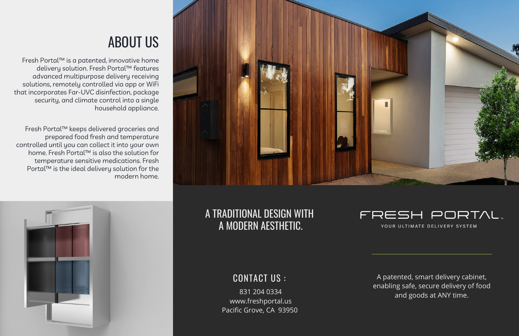## A TRADITIONAL DESIGN WITH A MODERN AESTHETIC.



# ABOUT US

831 204 0334 www.freshportal.us Pacific Grove, CA 93950

## FRESH PORTAL.

YOUR ULTIMATE DELIVERY SYSTEM

A patented, smart delivery cabinet, enabling safe, secure delivery of food and goods at ANY time.

### CONTACT US :

Fresh Portal™ is a patented, innovative home delivery solution. Fresh Portal™ features advanced multipurpose delivery receiving solutions, remotely controlled via app or WiFi that incorporates Far-UVC disinfection, package security, and climate control into a single household appliance.

Fresh Portal™ keeps delivered groceries and prepared food fresh and temperature controlled until you can collect it into your own home. Fresh Portal™ is also the solution for temperature sensitive medications. Fresh Portal™ is the ideal delivery solution for the modern home.